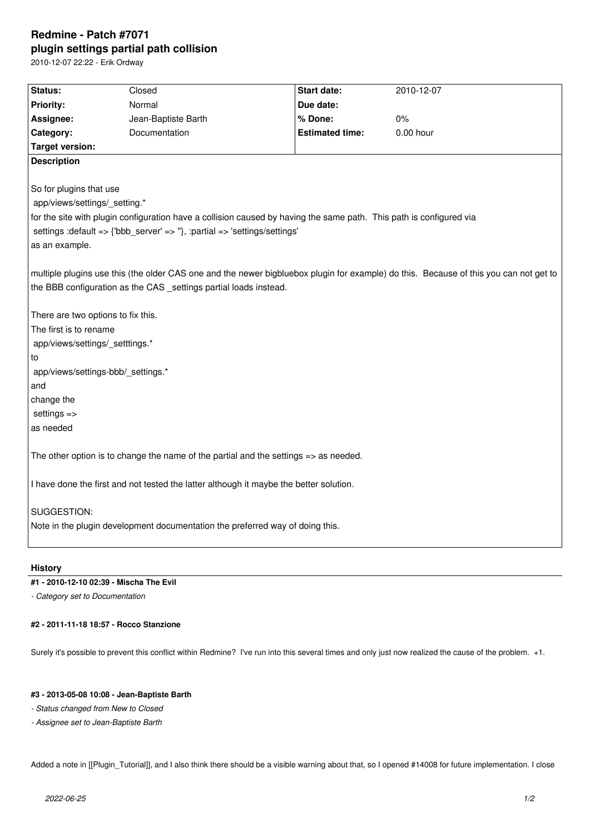# **Redmine - Patch #7071 plugin settings partial path collision**

2010-12-07 22:22 - Erik Ordway

| Status:                                                                                                                               | Closed              | Start date:            | 2010-12-07  |
|---------------------------------------------------------------------------------------------------------------------------------------|---------------------|------------------------|-------------|
| <b>Priority:</b>                                                                                                                      | Normal              | Due date:              |             |
| Assignee:                                                                                                                             | Jean-Baptiste Barth | % Done:                | 0%          |
| Category:                                                                                                                             | Documentation       | <b>Estimated time:</b> | $0.00$ hour |
| <b>Target version:</b>                                                                                                                |                     |                        |             |
| <b>Description</b>                                                                                                                    |                     |                        |             |
|                                                                                                                                       |                     |                        |             |
| So for plugins that use                                                                                                               |                     |                        |             |
| app/views/settings/_setting.*                                                                                                         |                     |                        |             |
| for the site with plugin configuration have a collision caused by having the same path. This path is configured via                   |                     |                        |             |
| settings : default => {'bbb_server' => "}, : partial => 'settings/settings'                                                           |                     |                        |             |
| as an example.                                                                                                                        |                     |                        |             |
|                                                                                                                                       |                     |                        |             |
| multiple plugins use this (the older CAS one and the newer bigbluebox plugin for example) do this. Because of this you can not get to |                     |                        |             |
| the BBB configuration as the CAS _settings partial loads instead.                                                                     |                     |                        |             |
|                                                                                                                                       |                     |                        |             |
| There are two options to fix this.                                                                                                    |                     |                        |             |
| The first is to rename                                                                                                                |                     |                        |             |
| app/views/settings/_setttings.*                                                                                                       |                     |                        |             |
| ∣to                                                                                                                                   |                     |                        |             |
| app/views/settings-bbb/_settings.*                                                                                                    |                     |                        |             |
| and                                                                                                                                   |                     |                        |             |
| change the                                                                                                                            |                     |                        |             |
| settings $\Rightarrow$                                                                                                                |                     |                        |             |
| as needed                                                                                                                             |                     |                        |             |
| The other option is to change the name of the partial and the settings $\Rightarrow$ as needed.                                       |                     |                        |             |
| I have done the first and not tested the latter although it maybe the better solution.                                                |                     |                        |             |
|                                                                                                                                       |                     |                        |             |
| SUGGESTION:                                                                                                                           |                     |                        |             |
| Note in the plugin development documentation the preferred way of doing this.                                                         |                     |                        |             |
|                                                                                                                                       |                     |                        |             |

### **History**

## **#1 - 2010-12-10 02:39 - Mischa The Evil**

*- Category set to Documentation*

#### **#2 - 2011-11-18 18:57 - Rocco Stanzione**

Surely it's possible to prevent this conflict within Redmine? I've run into this several times and only just now realized the cause of the problem. +1.

#### **#3 - 2013-05-08 10:08 - Jean-Baptiste Barth**

*- Status changed from New to Closed*

*- Assignee set to Jean-Baptiste Barth*

Added a note in [[Plugin\_Tutorial]], and I also think there should be a visible warning about that, so I opened #14008 for future implementation. I close